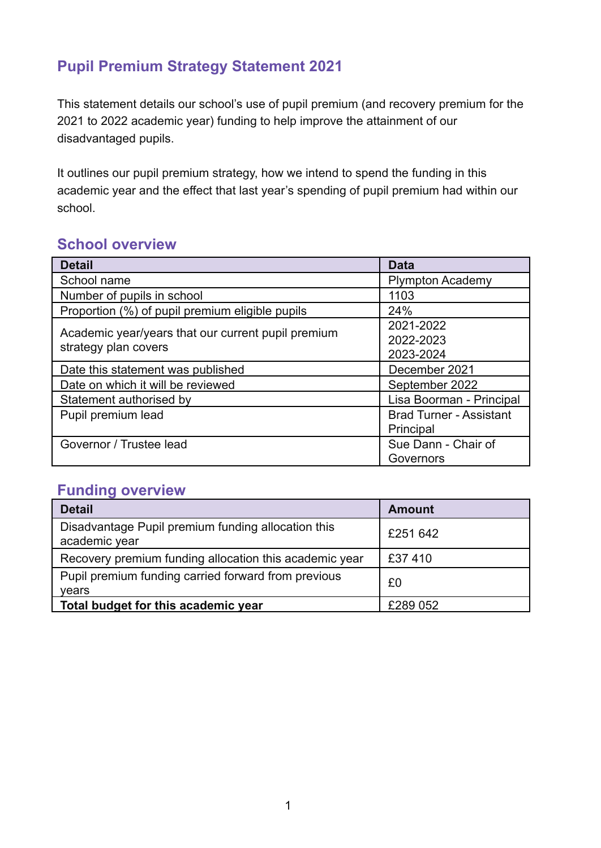# **Pupil Premium Strategy Statement 2021**

This statement details our school's use of pupil premium (and recovery premium for the 2021 to 2022 academic year) funding to help improve the attainment of our disadvantaged pupils.

It outlines our pupil premium strategy, how we intend to spend the funding in this academic year and the effect that last year's spending of pupil premium had within our school.

# **School overview**

| <b>Detail</b>                                                              | <b>Data</b>                                 |
|----------------------------------------------------------------------------|---------------------------------------------|
| School name                                                                | <b>Plympton Academy</b>                     |
| Number of pupils in school                                                 | 1103                                        |
| Proportion (%) of pupil premium eligible pupils                            | 24%                                         |
| Academic year/years that our current pupil premium<br>strategy plan covers | 2021-2022<br>2022-2023<br>2023-2024         |
| Date this statement was published                                          | December 2021                               |
| Date on which it will be reviewed                                          | September 2022                              |
| Statement authorised by                                                    | Lisa Boorman - Principal                    |
| Pupil premium lead                                                         | <b>Brad Turner - Assistant</b><br>Principal |
| Governor / Trustee lead                                                    | Sue Dann - Chair of<br>Governors            |

# **Funding overview**

| <b>Detail</b>                                                       | Amount   |
|---------------------------------------------------------------------|----------|
| Disadvantage Pupil premium funding allocation this<br>academic year | £251 642 |
| Recovery premium funding allocation this academic year              | £37410   |
| Pupil premium funding carried forward from previous<br>vears        | £0       |
| Total budget for this academic year                                 | £289 052 |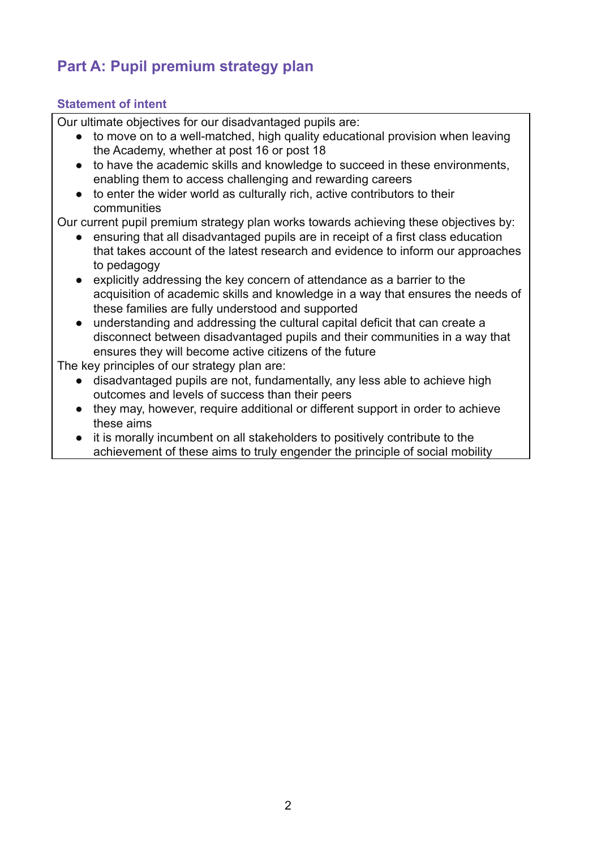# **Part A: Pupil premium strategy plan**

## **Statement of intent**

Our ultimate objectives for our disadvantaged pupils are:

- to move on to a well-matched, high quality educational provision when leaving the Academy, whether at post 16 or post 18
- to have the academic skills and knowledge to succeed in these environments, enabling them to access challenging and rewarding careers
- to enter the wider world as culturally rich, active contributors to their communities

Our current pupil premium strategy plan works towards achieving these objectives by:

- ensuring that all disadvantaged pupils are in receipt of a first class education that takes account of the latest research and evidence to inform our approaches to pedagogy
- explicitly addressing the key concern of attendance as a barrier to the acquisition of academic skills and knowledge in a way that ensures the needs of these families are fully understood and supported
- understanding and addressing the cultural capital deficit that can create a disconnect between disadvantaged pupils and their communities in a way that ensures they will become active citizens of the future

The key principles of our strategy plan are:

- disadvantaged pupils are not, fundamentally, any less able to achieve high outcomes and levels of success than their peers
- they may, however, require additional or different support in order to achieve these aims
- it is morally incumbent on all stakeholders to positively contribute to the achievement of these aims to truly engender the principle of social mobility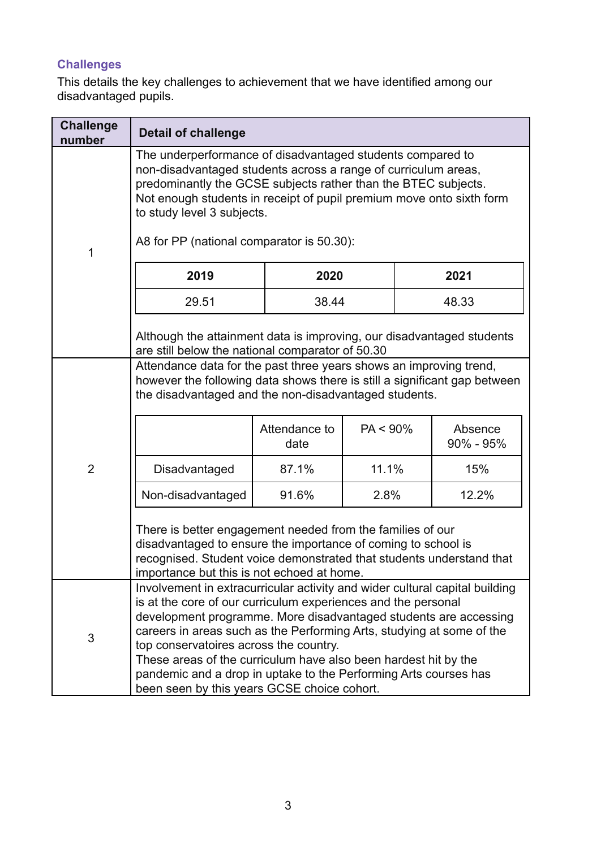# **Challenges**

This details the key challenges to achievement that we have identified among our disadvantaged pupils.

| <b>Challenge</b><br>number | <b>Detail of challenge</b>                                                                                                                                                                                                                                                                                                                                                                                                                                                                                                |                                         |                              |                                          |
|----------------------------|---------------------------------------------------------------------------------------------------------------------------------------------------------------------------------------------------------------------------------------------------------------------------------------------------------------------------------------------------------------------------------------------------------------------------------------------------------------------------------------------------------------------------|-----------------------------------------|------------------------------|------------------------------------------|
| 1                          | The underperformance of disadvantaged students compared to<br>non-disadvantaged students across a range of curriculum areas,<br>predominantly the GCSE subjects rather than the BTEC subjects.<br>Not enough students in receipt of pupil premium move onto sixth form<br>to study level 3 subjects.<br>A8 for PP (national comparator is 50.30):                                                                                                                                                                         |                                         |                              |                                          |
|                            | 2019                                                                                                                                                                                                                                                                                                                                                                                                                                                                                                                      | 2020                                    |                              | 2021                                     |
|                            | 29.51                                                                                                                                                                                                                                                                                                                                                                                                                                                                                                                     | 38.44                                   |                              | 48.33                                    |
|                            | Although the attainment data is improving, our disadvantaged students<br>are still below the national comparator of 50.30                                                                                                                                                                                                                                                                                                                                                                                                 |                                         |                              |                                          |
| $\overline{2}$             | Attendance data for the past three years shows an improving trend,<br>however the following data shows there is still a significant gap between<br>the disadvantaged and the non-disadvantaged students.<br>Disadvantaged<br>Non-disadvantaged<br>There is better engagement needed from the families of our<br>disadvantaged to ensure the importance of coming to school is<br>recognised. Student voice demonstrated that students understand that<br>importance but this is not echoed at home.                       | Attendance to<br>date<br>87.1%<br>91.6% | $PA < 90\%$<br>11.1%<br>2.8% | Absence<br>$90\% - 95\%$<br>15%<br>12.2% |
| 3                          | Involvement in extracurricular activity and wider cultural capital building<br>is at the core of our curriculum experiences and the personal<br>development programme. More disadvantaged students are accessing<br>careers in areas such as the Performing Arts, studying at some of the<br>top conservatoires across the country.<br>These areas of the curriculum have also been hardest hit by the<br>pandemic and a drop in uptake to the Performing Arts courses has<br>been seen by this years GCSE choice cohort. |                                         |                              |                                          |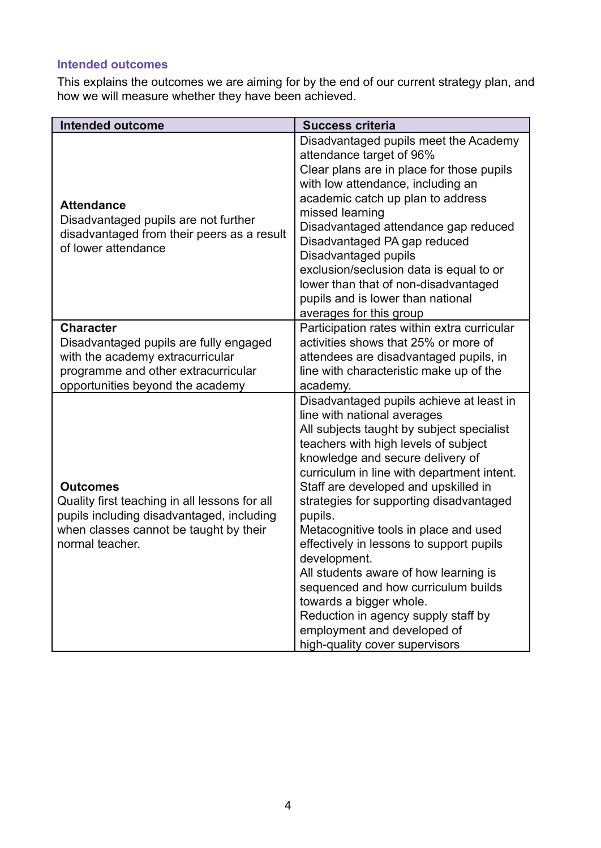# **Intended outcomes**

This explains the outcomes we are aiming for by the end of our current strategy plan, and how we will measure whether they have been achieved.

| <b>Intended outcome</b>                                                                                                                                                    | <b>Success criteria</b>                                                                                                                                                                                                                                                                                                                                                                                                                                                                                                                                                                                                                                              |
|----------------------------------------------------------------------------------------------------------------------------------------------------------------------------|----------------------------------------------------------------------------------------------------------------------------------------------------------------------------------------------------------------------------------------------------------------------------------------------------------------------------------------------------------------------------------------------------------------------------------------------------------------------------------------------------------------------------------------------------------------------------------------------------------------------------------------------------------------------|
| <b>Attendance</b><br>Disadvantaged pupils are not further<br>disadvantaged from their peers as a result<br>of lower attendance                                             | Disadvantaged pupils meet the Academy<br>attendance target of 96%<br>Clear plans are in place for those pupils<br>with low attendance, including an<br>academic catch up plan to address<br>missed learning<br>Disadvantaged attendance gap reduced<br>Disadvantaged PA gap reduced<br>Disadvantaged pupils<br>exclusion/seclusion data is equal to or<br>lower than that of non-disadvantaged<br>pupils and is lower than national<br>averages for this group                                                                                                                                                                                                       |
| <b>Character</b><br>Disadvantaged pupils are fully engaged<br>with the academy extracurricular<br>programme and other extracurricular<br>opportunities beyond the academy  | Participation rates within extra curricular<br>activities shows that 25% or more of<br>attendees are disadvantaged pupils, in<br>line with characteristic make up of the<br>academy.                                                                                                                                                                                                                                                                                                                                                                                                                                                                                 |
| <b>Outcomes</b><br>Quality first teaching in all lessons for all<br>pupils including disadvantaged, including<br>when classes cannot be taught by their<br>normal teacher. | Disadvantaged pupils achieve at least in<br>line with national averages<br>All subjects taught by subject specialist<br>teachers with high levels of subject<br>knowledge and secure delivery of<br>curriculum in line with department intent.<br>Staff are developed and upskilled in<br>strategies for supporting disadvantaged<br>pupils.<br>Metacognitive tools in place and used<br>effectively in lessons to support pupils<br>development.<br>All students aware of how learning is<br>sequenced and how curriculum builds<br>towards a bigger whole.<br>Reduction in agency supply staff by<br>employment and developed of<br>high-quality cover supervisors |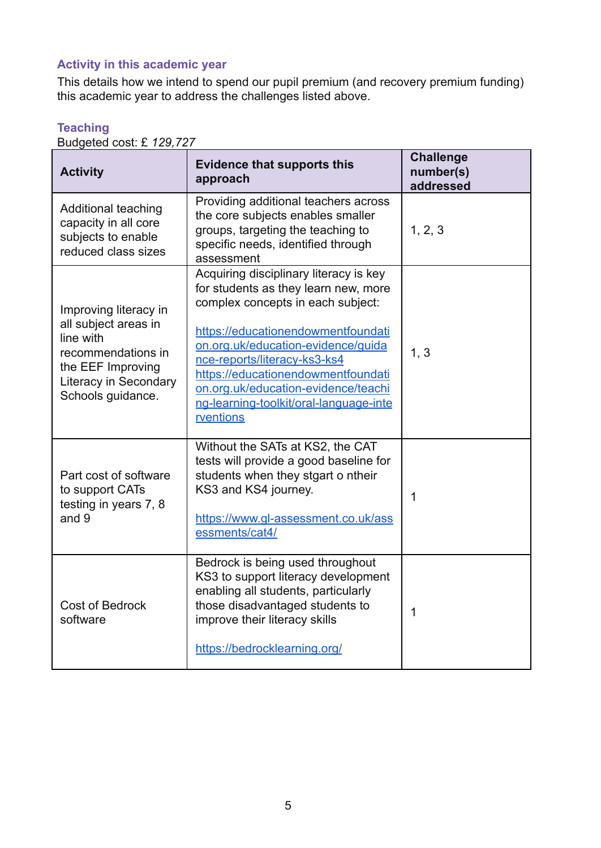# **Activity in this academic year**

This details how we intend to spend our pupil premium (and recovery premium funding) this academic year to address the challenges listed above.

| 20090100 0001. 2 720,727<br><b>Activity</b>                                                                                                         | <b>Evidence that supports this</b><br>approach                                                                                                                                                                                                                                                                                                                      | <b>Challenge</b><br>number(s)<br>addressed |
|-----------------------------------------------------------------------------------------------------------------------------------------------------|---------------------------------------------------------------------------------------------------------------------------------------------------------------------------------------------------------------------------------------------------------------------------------------------------------------------------------------------------------------------|--------------------------------------------|
| <b>Additional teaching</b><br>capacity in all core<br>subjects to enable<br>reduced class sizes                                                     | Providing additional teachers across<br>the core subjects enables smaller<br>groups, targeting the teaching to<br>specific needs, identified through<br>assessment                                                                                                                                                                                                  | 1, 2, 3                                    |
| Improving literacy in<br>all subject areas in<br>line with<br>recommendations in<br>the EEF Improving<br>Literacy in Secondary<br>Schools guidance. | Acquiring disciplinary literacy is key<br>for students as they learn new, more<br>complex concepts in each subject:<br>https://educationendowmentfoundati<br>on.org.uk/education-evidence/guida<br>nce-reports/literacy-ks3-ks4<br>https://educationendowmentfoundati<br>on.org.uk/education-evidence/teachi<br>ng-learning-toolkit/oral-language-inte<br>rventions | 1, 3                                       |
| Part cost of software<br>to support CATs<br>testing in years 7, 8<br>and 9                                                                          | Without the SATs at KS2, the CAT<br>tests will provide a good baseline for<br>students when they stgart o ntheir<br>KS3 and KS4 journey.<br>https://www.gl-assessment.co.uk/ass<br>essments/cat4/                                                                                                                                                                   | 1                                          |
| <b>Cost of Bedrock</b><br>software                                                                                                                  | Bedrock is being used throughout<br>KS3 to support literacy development<br>enabling all students, particularly<br>those disadvantaged students to<br>improve their literacy skills<br>https://bedrocklearning.org/                                                                                                                                                  | 1                                          |

#### **Teaching** Budgeted cost: £ *129,727*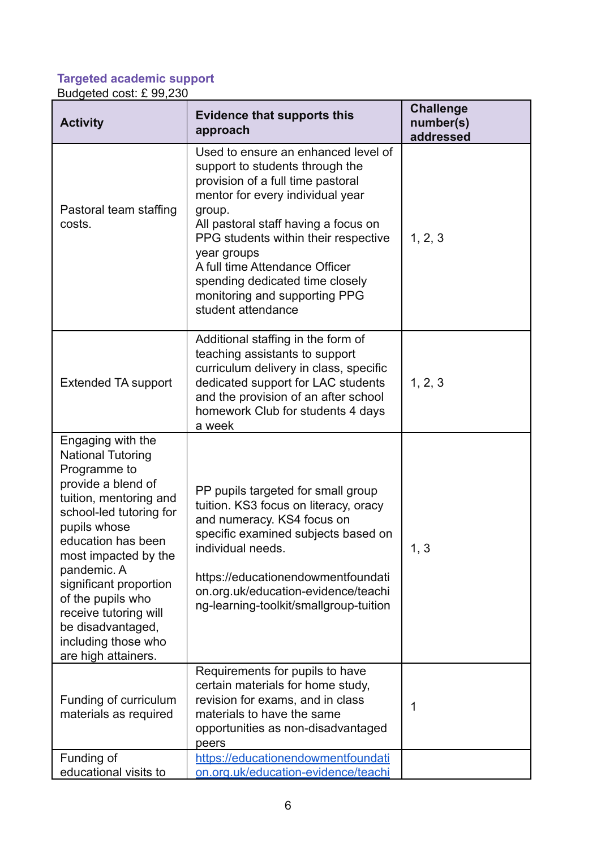# **Targeted academic support**

Budgeted cost: £ 99,230

| <b>Activity</b>                                                                                                                                                                                                                                                                                                                                                  | <b>Evidence that supports this</b><br>approach                                                                                                                                                                                                                                                                                                                                       | <b>Challenge</b><br>number(s)<br>addressed |
|------------------------------------------------------------------------------------------------------------------------------------------------------------------------------------------------------------------------------------------------------------------------------------------------------------------------------------------------------------------|--------------------------------------------------------------------------------------------------------------------------------------------------------------------------------------------------------------------------------------------------------------------------------------------------------------------------------------------------------------------------------------|--------------------------------------------|
| Pastoral team staffing<br>costs.                                                                                                                                                                                                                                                                                                                                 | Used to ensure an enhanced level of<br>support to students through the<br>provision of a full time pastoral<br>mentor for every individual year<br>group.<br>All pastoral staff having a focus on<br>PPG students within their respective<br>year groups<br>A full time Attendance Officer<br>spending dedicated time closely<br>monitoring and supporting PPG<br>student attendance | 1, 2, 3                                    |
| <b>Extended TA support</b>                                                                                                                                                                                                                                                                                                                                       | Additional staffing in the form of<br>teaching assistants to support<br>curriculum delivery in class, specific<br>dedicated support for LAC students<br>and the provision of an after school<br>homework Club for students 4 days<br>a week                                                                                                                                          | 1, 2, 3                                    |
| Engaging with the<br><b>National Tutoring</b><br>Programme to<br>provide a blend of<br>tuition, mentoring and<br>school-led tutoring for<br>pupils whose<br>education has been<br>most impacted by the<br>pandemic. A<br>significant proportion<br>of the pupils who<br>receive tutoring will<br>be disadvantaged,<br>including those who<br>are high attainers. | PP pupils targeted for small group<br>tuition. KS3 focus on literacy, oracy<br>and numeracy. KS4 focus on<br>specific examined subjects based on<br>individual needs.<br>https://educationendowmentfoundati<br>on.org.uk/education-evidence/teachi<br>ng-learning-toolkit/smallgroup-tuition                                                                                         | 1, 3                                       |
| Funding of curriculum<br>materials as required                                                                                                                                                                                                                                                                                                                   | Requirements for pupils to have<br>certain materials for home study,<br>revision for exams, and in class<br>materials to have the same<br>opportunities as non-disadvantaged<br>peers                                                                                                                                                                                                | 1                                          |
| Funding of<br>educational visits to                                                                                                                                                                                                                                                                                                                              | https://educationendowmentfoundati<br>on.org.uk/education-evidence/teachi                                                                                                                                                                                                                                                                                                            |                                            |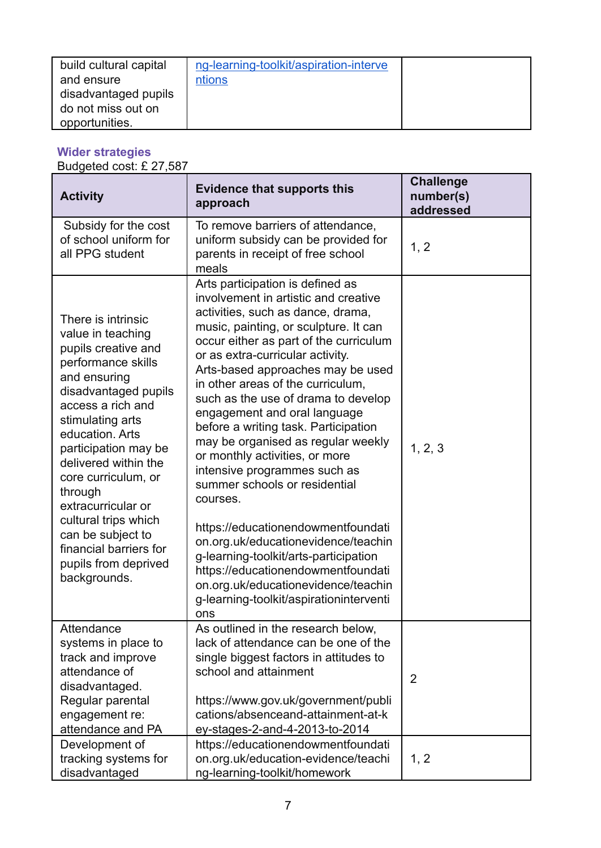| build cultural capital<br>and ensure | ng-learning-toolkit/aspiration-interve<br>ntions |  |
|--------------------------------------|--------------------------------------------------|--|
| disadvantaged pupils                 |                                                  |  |
| do not miss out on<br>opportunities. |                                                  |  |
|                                      |                                                  |  |

### **Wider strategies**

Budgeted cost: £ 27,587

| <b>Activity</b>                                                                                                                                                                                                                                                                                                                                                                                                 | <b>Evidence that supports this</b><br>approach                                                                                                                                                                                                                                                                                                                                                                                                                                                                                                                                                                                                                                                                                                                                                                                          | <b>Challenge</b><br>number(s)<br>addressed |
|-----------------------------------------------------------------------------------------------------------------------------------------------------------------------------------------------------------------------------------------------------------------------------------------------------------------------------------------------------------------------------------------------------------------|-----------------------------------------------------------------------------------------------------------------------------------------------------------------------------------------------------------------------------------------------------------------------------------------------------------------------------------------------------------------------------------------------------------------------------------------------------------------------------------------------------------------------------------------------------------------------------------------------------------------------------------------------------------------------------------------------------------------------------------------------------------------------------------------------------------------------------------------|--------------------------------------------|
| Subsidy for the cost<br>of school uniform for<br>all PPG student                                                                                                                                                                                                                                                                                                                                                | To remove barriers of attendance,<br>uniform subsidy can be provided for<br>parents in receipt of free school<br>meals                                                                                                                                                                                                                                                                                                                                                                                                                                                                                                                                                                                                                                                                                                                  | 1, 2                                       |
| There is intrinsic<br>value in teaching<br>pupils creative and<br>performance skills<br>and ensuring<br>disadvantaged pupils<br>access a rich and<br>stimulating arts<br>education. Arts<br>participation may be<br>delivered within the<br>core curriculum, or<br>through<br>extracurricular or<br>cultural trips which<br>can be subject to<br>financial barriers for<br>pupils from deprived<br>backgrounds. | Arts participation is defined as<br>involvement in artistic and creative<br>activities, such as dance, drama,<br>music, painting, or sculpture. It can<br>occur either as part of the curriculum<br>or as extra-curricular activity.<br>Arts-based approaches may be used<br>in other areas of the curriculum,<br>such as the use of drama to develop<br>engagement and oral language<br>before a writing task. Participation<br>may be organised as regular weekly<br>or monthly activities, or more<br>intensive programmes such as<br>summer schools or residential<br>courses.<br>https://educationendowmentfoundati<br>on.org.uk/educationevidence/teachin<br>g-learning-toolkit/arts-participation<br>https://educationendowmentfoundati<br>on.org.uk/educationevidence/teachin<br>g-learning-toolkit/aspirationinterventi<br>ons | 1, 2, 3                                    |
| Attendance<br>systems in place to<br>track and improve<br>attendance of<br>disadvantaged.<br>Regular parental<br>engagement re:<br>attendance and PA                                                                                                                                                                                                                                                            | As outlined in the research below,<br>lack of attendance can be one of the<br>single biggest factors in attitudes to<br>school and attainment<br>https://www.gov.uk/government/publi<br>cations/absenceand-attainment-at-k<br>ey-stages-2-and-4-2013-to-2014                                                                                                                                                                                                                                                                                                                                                                                                                                                                                                                                                                            | $\overline{2}$                             |
| Development of<br>tracking systems for<br>disadvantaged                                                                                                                                                                                                                                                                                                                                                         | https://educationendowmentfoundati<br>on.org.uk/education-evidence/teachi<br>ng-learning-toolkit/homework                                                                                                                                                                                                                                                                                                                                                                                                                                                                                                                                                                                                                                                                                                                               | 1, 2                                       |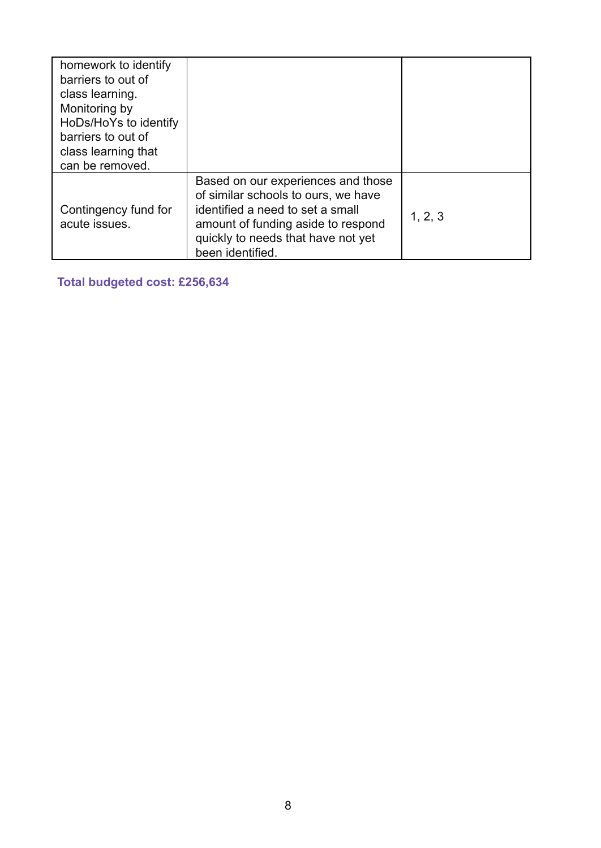| homework to identify<br>barriers to out of<br>class learning.<br>Monitoring by<br>HoDs/HoYs to identify<br>barriers to out of<br>class learning that<br>can be removed. |                                                                                                                                                                                                               |         |
|-------------------------------------------------------------------------------------------------------------------------------------------------------------------------|---------------------------------------------------------------------------------------------------------------------------------------------------------------------------------------------------------------|---------|
| Contingency fund for<br>acute issues.                                                                                                                                   | Based on our experiences and those<br>of similar schools to ours, we have<br>identified a need to set a small<br>amount of funding aside to respond<br>quickly to needs that have not yet<br>been identified. | 1, 2, 3 |

**Total budgeted cost: £256,634**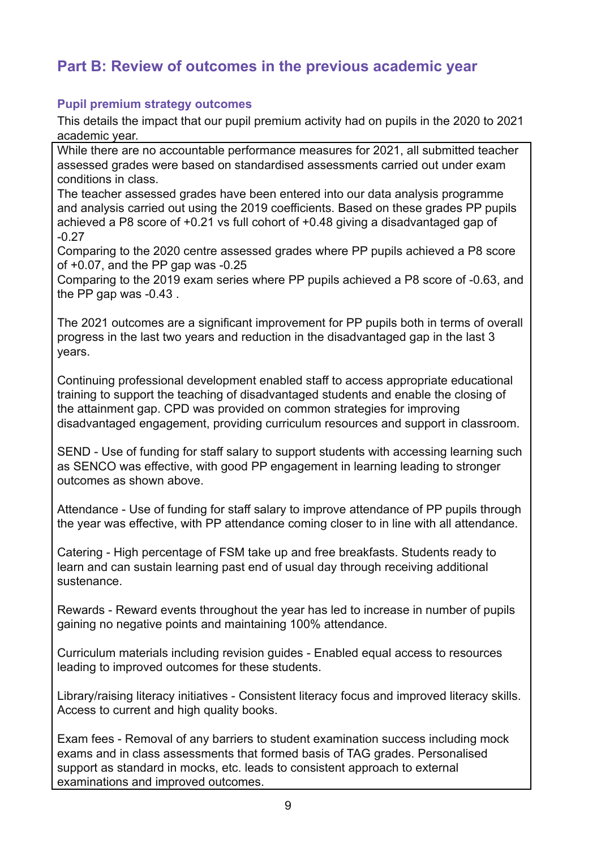# **Part B: Review of outcomes in the previous academic year**

### **Pupil premium strategy outcomes**

This details the impact that our pupil premium activity had on pupils in the 2020 to 2021 academic year.

While there are no accountable performance measures for 2021, all submitted teacher assessed grades were based on standardised assessments carried out under exam conditions in class.

The teacher assessed grades have been entered into our data analysis programme and analysis carried out using the 2019 coefficients. Based on these grades PP pupils achieved a P8 score of +0.21 vs full cohort of +0.48 giving a disadvantaged gap of -0.27

Comparing to the 2020 centre assessed grades where PP pupils achieved a P8 score of +0.07, and the PP gap was -0.25

Comparing to the 2019 exam series where PP pupils achieved a P8 score of -0.63, and the PP gap was -0.43 .

The 2021 outcomes are a significant improvement for PP pupils both in terms of overall progress in the last two years and reduction in the disadvantaged gap in the last 3 years.

Continuing professional development enabled staff to access appropriate educational training to support the teaching of disadvantaged students and enable the closing of the attainment gap. CPD was provided on common strategies for improving disadvantaged engagement, providing curriculum resources and support in classroom.

SEND - Use of funding for staff salary to support students with accessing learning such as SENCO was effective, with good PP engagement in learning leading to stronger outcomes as shown above.

Attendance - Use of funding for staff salary to improve attendance of PP pupils through the year was effective, with PP attendance coming closer to in line with all attendance.

Catering - High percentage of FSM take up and free breakfasts. Students ready to learn and can sustain learning past end of usual day through receiving additional sustenance.

Rewards - Reward events throughout the year has led to increase in number of pupils gaining no negative points and maintaining 100% attendance.

Curriculum materials including revision guides - Enabled equal access to resources leading to improved outcomes for these students.

Library/raising literacy initiatives - Consistent literacy focus and improved literacy skills. Access to current and high quality books.

Exam fees - Removal of any barriers to student examination success including mock exams and in class assessments that formed basis of TAG grades. Personalised support as standard in mocks, etc. leads to consistent approach to external examinations and improved outcomes.